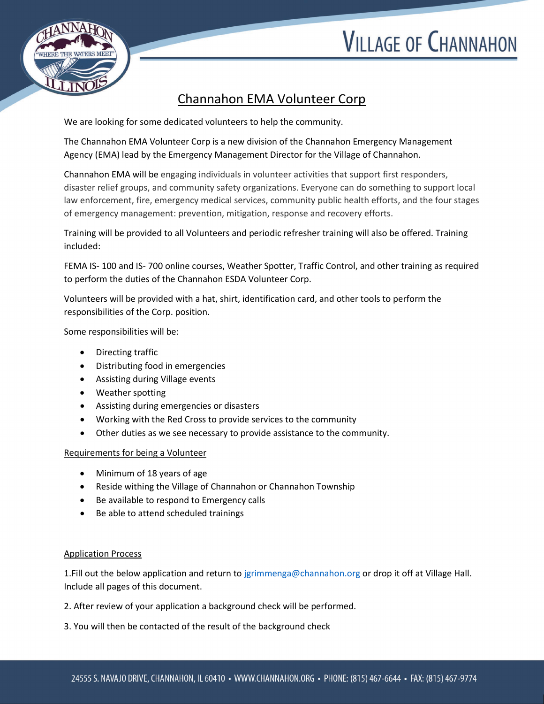# **VILLAGE OF CHANNAHON**



## Channahon EMA Volunteer Corp

We are looking for some dedicated volunteers to help the community.

The Channahon EMA Volunteer Corp is a new division of the Channahon Emergency Management Agency (EMA) lead by the Emergency Management Director for the Village of Channahon.

Channahon EMA will be engaging individuals in volunteer activities that support first responders, disaster relief groups, and community safety organizations. Everyone can do something to support local law enforcement, fire, emergency medical services, community public health efforts, and the four stages of emergency management: prevention, mitigation, response and recovery efforts.

Training will be provided to all Volunteers and periodic refresher training will also be offered. Training included:

FEMA IS- 100 and IS- 700 online courses, Weather Spotter, Traffic Control, and other training as required to perform the duties of the Channahon ESDA Volunteer Corp.

Volunteers will be provided with a hat, shirt, identification card, and other tools to perform the responsibilities of the Corp. position.

Some responsibilities will be:

- Directing traffic
- Distributing food in emergencies
- Assisting during Village events
- Weather spotting
- Assisting during emergencies or disasters
- Working with the Red Cross to provide services to the community
- Other duties as we see necessary to provide assistance to the community.

#### Requirements for being a Volunteer

- Minimum of 18 years of age
- Reside withing the Village of Channahon or Channahon Township
- Be available to respond to Emergency calls
- Be able to attend scheduled trainings

#### Application Process

1.Fill out the below application and return to [jgrimmenga@channahon.org](mailto:jgrimmenga@channahon.org) or drop it off at Village Hall. Include all pages of this document.

2. After review of your application a background check will be performed.

3. You will then be contacted of the result of the background check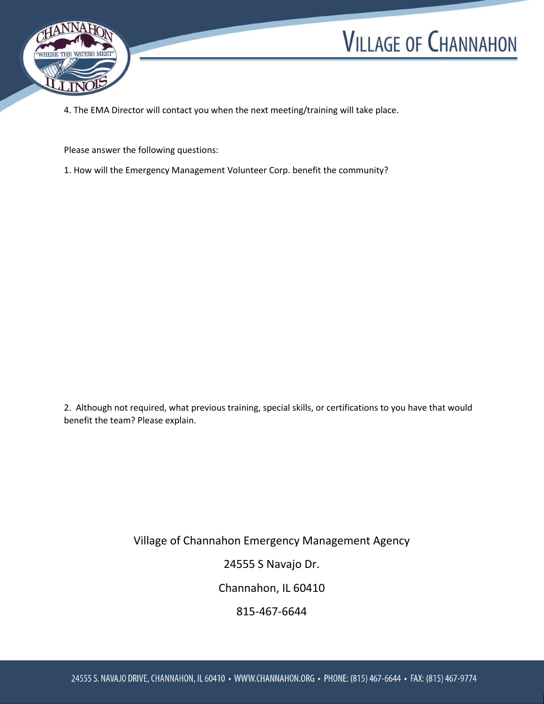



4. The EMA Director will contact you when the next meeting/training will take place.

Please answer the following questions:

1. How will the Emergency Management Volunteer Corp. benefit the community?

2. Although not required, what previous training, special skills, or certifications to you have that would benefit the team? Please explain.

Village of Channahon Emergency Management Agency

24555 S Navajo Dr.

Channahon, IL 60410

815-467-6644